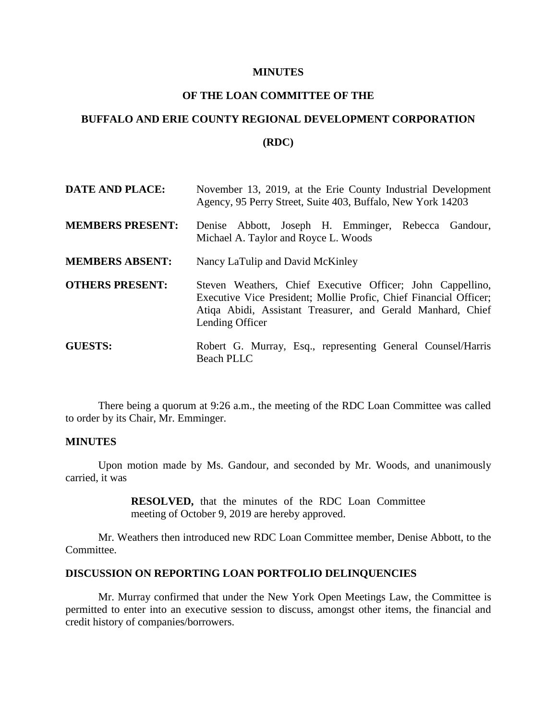#### **MINUTES**

## **OF THE LOAN COMMITTEE OF THE**

# **BUFFALO AND ERIE COUNTY REGIONAL DEVELOPMENT CORPORATION**

### **(RDC)**

| <b>DATE AND PLACE:</b>  | November 13, 2019, at the Erie County Industrial Development<br>Agency, 95 Perry Street, Suite 403, Buffalo, New York 14203                                                                                       |
|-------------------------|-------------------------------------------------------------------------------------------------------------------------------------------------------------------------------------------------------------------|
| <b>MEMBERS PRESENT:</b> | Denise Abbott, Joseph H. Emminger, Rebecca Gandour,<br>Michael A. Taylor and Royce L. Woods                                                                                                                       |
| <b>MEMBERS ABSENT:</b>  | Nancy LaTulip and David McKinley                                                                                                                                                                                  |
| <b>OTHERS PRESENT:</b>  | Steven Weathers, Chief Executive Officer; John Cappellino,<br>Executive Vice President; Mollie Profic, Chief Financial Officer;<br>Atiqa Abidi, Assistant Treasurer, and Gerald Manhard, Chief<br>Lending Officer |
| <b>GUESTS:</b>          | Robert G. Murray, Esq., representing General Counsel/Harris<br><b>Beach PLLC</b>                                                                                                                                  |

There being a quorum at 9:26 a.m., the meeting of the RDC Loan Committee was called to order by its Chair, Mr. Emminger.

#### **MINUTES**

Upon motion made by Ms. Gandour, and seconded by Mr. Woods, and unanimously carried, it was

> **RESOLVED,** that the minutes of the RDC Loan Committee meeting of October 9, 2019 are hereby approved.

Mr. Weathers then introduced new RDC Loan Committee member, Denise Abbott, to the Committee.

#### **DISCUSSION ON REPORTING LOAN PORTFOLIO DELINQUENCIES**

Mr. Murray confirmed that under the New York Open Meetings Law, the Committee is permitted to enter into an executive session to discuss, amongst other items, the financial and credit history of companies/borrowers.